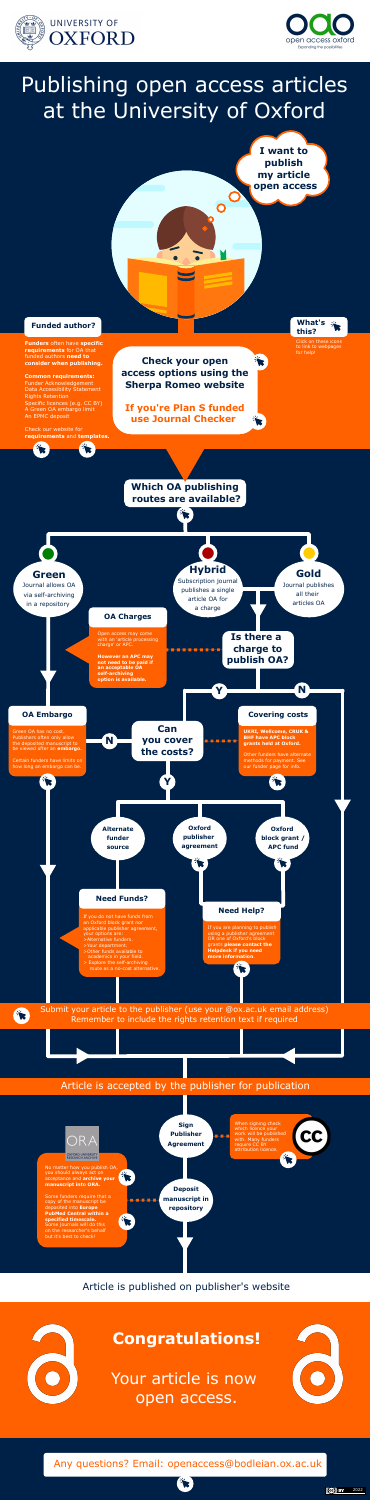



# Publishing open access articles at the University of Oxford

**Funders** often have **specific requirements** for OA that funded authors **need to consider when publishing.**

### **Common requirements:**

Funder Acknowledgement Data Accessibility Statement Rights Retention Specific licences (e.g. CC BY) A Green OA embargo limit An EPMC deposit

Check our website for **requirements** and **templates.**

## **Funded author?**

**Check your open access options using the Sherpa Romeo website**

Your article is now open access.



**If you're Plan S funded use Journal Checker** 

**I want to publish my article open access**

## Article is published on publisher's website



## **Congratulations!**



When signing check

Any questions? Email: openaccess@bodleian.ox.ac.uk







Click on these icons to link to webpages for help!